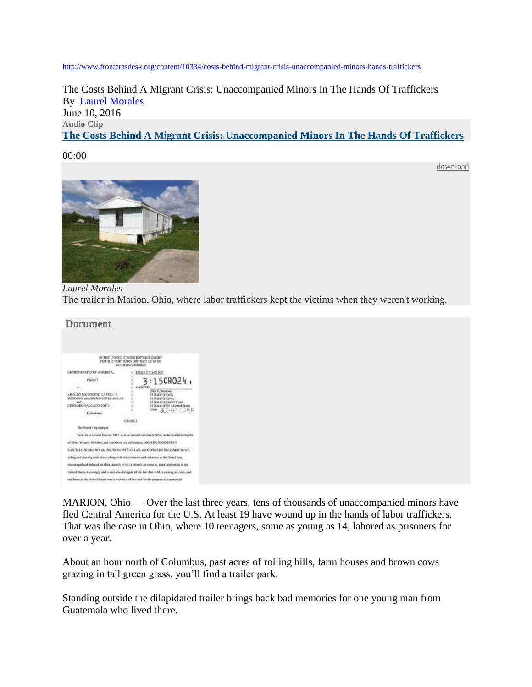<http://www.fronterasdesk.org/content/10334/costs-behind-migrant-crisis-unaccompanied-minors-hands-traffickers>

The Costs Behind A Migrant Crisis: Unaccompanied Minors In The Hands Of Traffickers By [Laurel Morales](http://www.fronterasdesk.org/staff/%2088) June 10, 2016 **Audio Clip [The Costs Behind A Migrant Crisis: Unaccompanied Minors In The Hands Of Traffickers](http://fronterasdesk.org/file/10952)**

## 00:00

[download](http://fronterasdesk.org/sites/default/files/6-9-16FrontOhio.mp3)



*Laurel Morales* The trailer in Marion, Ohio, where labor traffickers kept the victims when they weren't working.

## **Document**



MARION, Ohio — Over the last three years, tens of thousands of unaccompanied minors have fled Central America for the U.S. At least 19 have wound up in the hands of labor traffickers. That was the case in Ohio, where 10 teenagers, some as young as 14, labored as prisoners for over a year.

About an hour north of Columbus, past acres of rolling hills, farm houses and brown cows grazing in tall green grass, you'll find a trailer park.

Standing outside the dilapidated trailer brings back bad memories for one young man from Guatemala who lived there.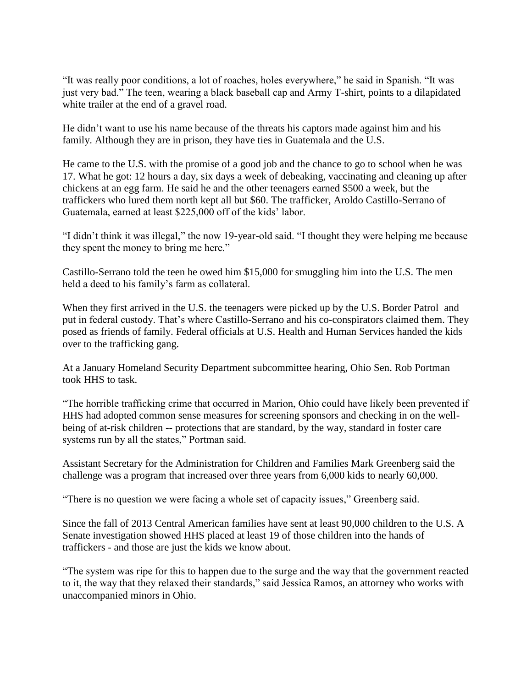"It was really poor conditions, a lot of roaches, holes everywhere," he said in Spanish. "It was just very bad." The teen, wearing a black baseball cap and Army T-shirt, points to a dilapidated white trailer at the end of a gravel road.

He didn't want to use his name because of the threats his captors made against him and his family. Although they are in prison, they have ties in Guatemala and the U.S.

He came to the U.S. with the promise of a good job and the chance to go to school when he was 17. What he got: 12 hours a day, six days a week of debeaking, vaccinating and cleaning up after chickens at an egg farm. He said he and the other teenagers earned \$500 a week, but the traffickers who lured them north kept all but \$60. The trafficker, Aroldo Castillo-Serrano of Guatemala, earned at least \$225,000 off of the kids' labor.

"I didn't think it was illegal," the now 19-year-old said. "I thought they were helping me because they spent the money to bring me here."

Castillo-Serrano told the teen he owed him \$15,000 for smuggling him into the U.S. The men held a deed to his family's farm as collateral.

When they first arrived in the U.S. the teenagers were picked up by the U.S. Border Patrol and put in federal custody. That's where Castillo-Serrano and his co-conspirators claimed them. They posed as friends of family. Federal officials at U.S. Health and Human Services handed the kids over to the trafficking gang.

At a January Homeland Security Department subcommittee hearing, Ohio Sen. Rob Portman took HHS to task.

"The horrible trafficking crime that occurred in Marion, Ohio could have likely been prevented if HHS had adopted common sense measures for screening sponsors and checking in on the wellbeing of at-risk children -- protections that are standard, by the way, standard in foster care systems run by all the states," Portman said.

Assistant Secretary for the Administration for Children and Families Mark Greenberg said the challenge was a program that increased over three years from 6,000 kids to nearly 60,000.

"There is no question we were facing a whole set of capacity issues," Greenberg said.

Since the fall of 2013 Central American families have sent at least 90,000 children to the U.S. A Senate investigation showed HHS placed at least 19 of those children into the hands of traffickers - and those are just the kids we know about.

"The system was ripe for this to happen due to the surge and the way that the government reacted to it, the way that they relaxed their standards," said Jessica Ramos, an attorney who works with unaccompanied minors in Ohio.